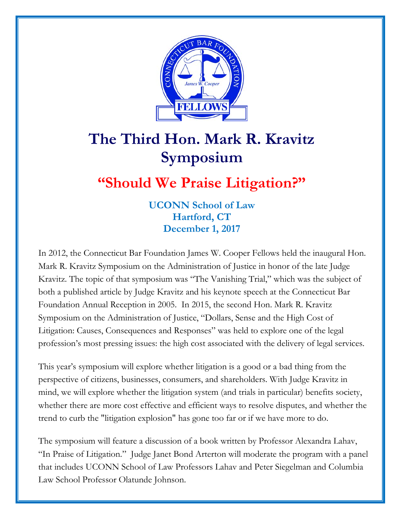

## **The Third Hon. Mark R. Kravitz Symposium**

## **"Should We Praise Litigation?"**

**UCONN School of Law Hartford, CT December 1, 2017**

In 2012, the Connecticut Bar Foundation James W. Cooper Fellows held the inaugural Hon. Mark R. Kravitz Symposium on the Administration of Justice in honor of the late Judge Kravitz. The topic of that symposium was "The Vanishing Trial," which was the subject of both a published article by Judge Kravitz and his keynote speech at the Connecticut Bar Foundation Annual Reception in 2005. In 2015, the second Hon. Mark R. Kravitz Symposium on the Administration of Justice, "Dollars, Sense and the High Cost of Litigation: Causes, Consequences and Responses" was held to explore one of the legal profession's most pressing issues: the high cost associated with the delivery of legal services.

This year's symposium will explore whether litigation is a good or a bad thing from the perspective of citizens, businesses, consumers, and shareholders. With Judge Kravitz in mind, we will explore whether the litigation system (and trials in particular) benefits society, whether there are more cost effective and efficient ways to resolve disputes, and whether the trend to curb the "litigation explosion" has gone too far or if we have more to do.

The symposium will feature a discussion of a book written by Professor Alexandra Lahav, "In Praise of Litigation." Judge Janet Bond Arterton will moderate the program with a panel that includes UCONN School of Law Professors Lahav and Peter Siegelman and Columbia Law School Professor Olatunde Johnson.